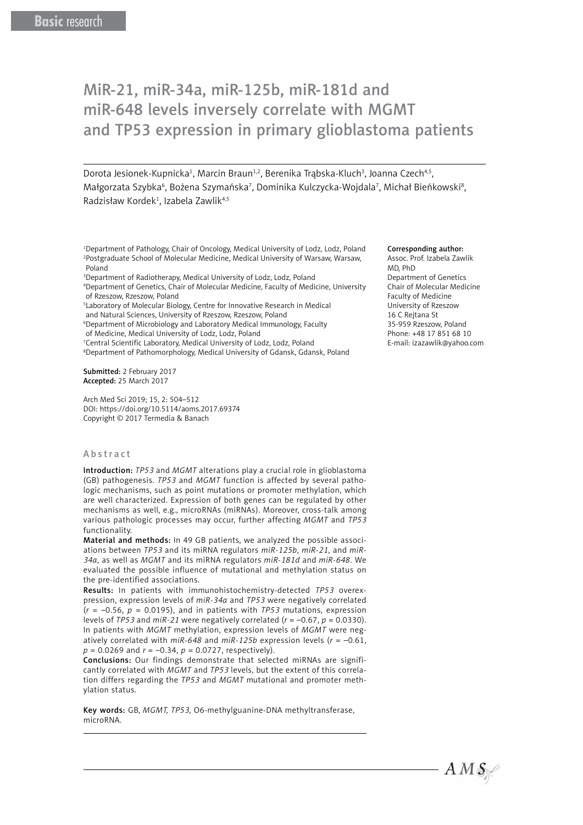# MiR-21, miR-34a, miR-125b, miR-181d and miR-648 levels inversely correlate with MGMT and TP53 expression in primary glioblastoma patients

Dorota Jesionek-Kupnicka<sup>1</sup>, Marcin Braun<sup>1,2</sup>, Berenika Trąbska-Kluch<sup>3</sup>, Joanna Czech<sup>4,5</sup>, Małgorzata Szybka<sup>6</sup>, Bożena Szymańska<sup>7</sup>, Dominika Kulczycka-Wojdala<sup>7</sup>, Michał Bieńkowski<sup>8</sup>, Radzisław Kordek<sup>1</sup>, Izabela Zawlik<sup>4,5</sup>

- <sup>1</sup>Department of Pathology, Chair of Oncology, Medical University of Lodz, Lodz, Poland 2 Postgraduate School of Molecular Medicine, Medical University of Warsaw, Warsaw, Poland
- 3 Department of Radiotherapy, Medical University of Lodz, Lodz, Poland
- 4 Department of Genetics, Chair of Molecular Medicine, Faculty of Medicine, University of Rzeszow, Rzeszow, Poland
- 5 Laboratory of Molecular Biology, Centre for Innovative Research in Medical
- and Natural Sciences, University of Rzeszow, Rzeszow, Poland 6 Department of Microbiology and Laboratory Medical Immunology, Faculty
- of Medicine, Medical University of Lodz, Lodz, Poland
- 7 Central Scientific Laboratory, Medical University of Lodz, Lodz, Poland
- 8 Department of Pathomorphology, Medical University of Gdansk, Gdansk, Poland

Submitted: 2 February 2017 Accepted: 25 March 2017

Arch Med Sci 2019; 15, 2: 504–512 DOI: https://doi.org/10.5114/aoms.2017.69374 Copyright © 2017 Termedia & Banach

## Abstract

Introduction: *TP53* and *MGMT* alterations play a crucial role in glioblastoma (GB) pathogenesis. *TP53* and *MGMT* function is affected by several pathologic mechanisms, such as point mutations or promoter methylation, which are well characterized. Expression of both genes can be regulated by other mechanisms as well, e.g., microRNAs (miRNAs). Moreover, cross-talk among various pathologic processes may occur, further affecting *MGMT* and *TP53* functionality.

Material and methods: In 49 GB patients, we analyzed the possible associations between *TP53* and its miRNA regulators *miR-125b*, *miR-21*, and *miR-34a*, as well as *MGMT* and its miRNA regulators *miR-181d* and *miR-648*. We evaluated the possible influence of mutational and methylation status on the pre-identified associations.

Results: In patients with immunohistochemistry-detected *TP53* overexpression, expression levels of *miR-34a* and *TP53* were negatively correlated  $(r = -0.56, p = 0.0195)$ , and in patients with *TP53* mutations, expression levels of *TP53* and *miR-21* were negatively correlated (*r* = –0.67, *p* = 0.0330). In patients with *MGMT* methylation, expression levels of *MGMT* were negatively correlated with *miR-648* and *miR-125b* expression levels (*r* = –0.61, *p* = 0.0269 and *r* = –0.34, *p* = 0.0727, respectively).

Conclusions: Our findings demonstrate that selected miRNAs are significantly correlated with *MGMT* and *TP53* levels, but the extent of this correlation differs regarding the *TP53* and *MGMT* mutational and promoter methylation status.

Key words: GB, *MGMT, TP53,* O6-methylguanine-DNA methyltransferase, microRNA.

#### Corresponding author:

Assoc. Prof. Izabela Zawlik MD, PhD Department of Genetics Chair of Molecular Medicine Faculty of Medicine University of Rzeszow 16 C Rejtana St 35-959 Rzeszow, Poland Phone: +48 17 851 68 10 E-mail: izazawlik@yahoo.com

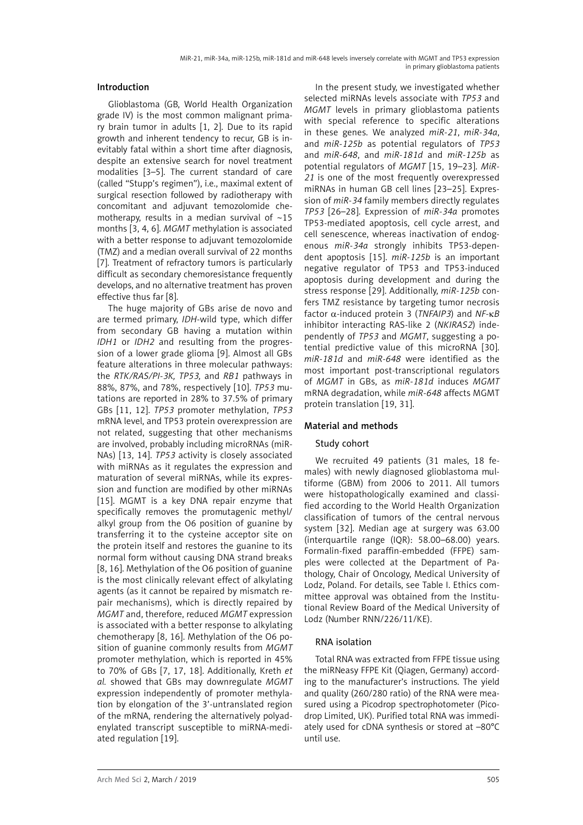# Introduction

Glioblastoma (GB, World Health Organization grade IV) is the most common malignant primary brain tumor in adults [1, 2]. Due to its rapid growth and inherent tendency to recur, GB is inevitably fatal within a short time after diagnosis, despite an extensive search for novel treatment modalities [3–5]. The current standard of care (called "Stupp's regimen"), i.e., maximal extent of surgical resection followed by radiotherapy with concomitant and adjuvant temozolomide chemotherapy, results in a median survival of  $\sim$ 15 months [3, 4, 6]. *MGMT* methylation is associated with a better response to adjuvant temozolomide (TMZ) and a median overall survival of 22 months [7]. Treatment of refractory tumors is particularly difficult as secondary chemoresistance frequently develops, and no alternative treatment has proven effective thus far [8].

The huge majority of GBs arise de novo and are termed primary, *IDH*-wild type, which differ from secondary GB having a mutation within *IDH1* or *IDH2* and resulting from the progression of a lower grade glioma [9]. Almost all GBs feature alterations in three molecular pathways: the *RTK/RAS/PI-3K, TP53,* and *RB1* pathways in 88%, 87%, and 78%, respectively [10]. *TP53* mutations are reported in 28% to 37.5% of primary GBs [11, 12]. *TP53* promoter methylation, *TP53* mRNA level, and TP53 protein overexpression are not related, suggesting that other mechanisms are involved, probably including microRNAs (miR-NAs) [13, 14]. *TP53* activity is closely associated with miRNAs as it regulates the expression and maturation of several miRNAs, while its expression and function are modified by other miRNAs [15]. MGMT is a key DNA repair enzyme that specifically removes the promutagenic methyl/ alkyl group from the O6 position of guanine by transferring it to the cysteine acceptor site on the protein itself and restores the guanine to its normal form without causing DNA strand breaks [8, 16]. Methylation of the O6 position of guanine is the most clinically relevant effect of alkylating agents (as it cannot be repaired by mismatch repair mechanisms), which is directly repaired by *MGMT* and, therefore, reduced *MGMT* expression is associated with a better response to alkylating chemotherapy [8, 16]. Methylation of the O6 position of guanine commonly results from *MGMT* promoter methylation, which is reported in 45% to 70% of GBs [7, 17, 18]. Additionally, Kreth *et al.* showed that GBs may downregulate *MGMT* expression independently of promoter methylation by elongation of the 3'-untranslated region of the mRNA, rendering the alternatively polyadenylated transcript susceptible to miRNA-mediated regulation [19].

In the present study, we investigated whether selected miRNAs levels associate with *TP53* and *MGMT* levels in primary glioblastoma patients with special reference to specific alterations in these genes. We analyzed *miR-21*, *miR-34a*, and *miR-125b* as potential regulators of *TP53* and *miR-648*, and *miR-181d* and *miR-125b* as potential regulators of *MGMT* [15, 19–23]. *MiR-21* is one of the most frequently overexpressed miRNAs in human GB cell lines [23–25]. Expression of *miR-34* family members directly regulates *TP53* [26–28]. Expression of *miR-34a* promotes TP53-mediated apoptosis, cell cycle arrest, and cell senescence, whereas inactivation of endogenous *miR-34a* strongly inhibits TP53-dependent apoptosis [15]. *miR-125b* is an important negative regulator of TP53 and TP53-induced apoptosis during development and during the stress response [29]. Additionally, *miR-125b* confers TMZ resistance by targeting tumor necrosis factor α-induced protein 3 (*TNFAIP3*) and *NF-*κ*B* inhibitor interacting RAS-like 2 (*NKIRAS2*) independently of *TP53* and *MGMT*, suggesting a potential predictive value of this microRNA [30]. *miR-181d* and *miR-648* were identified as the most important post-transcriptional regulators of *MGMT* in GBs, as *miR-181d* induces *MGMT* mRNA degradation, while *miR-648* affects MGMT protein translation [19, 31].

## Material and methods

## Study cohort

We recruited 49 patients (31 males, 18 females) with newly diagnosed glioblastoma multiforme (GBM) from 2006 to 2011. All tumors were histopathologically examined and classified according to the World Health Organization classification of tumors of the central nervous system [32]. Median age at surgery was 63.00 (interquartile range (IQR): 58.00–68.00) years. Formalin-fixed paraffin-embedded (FFPE) samples were collected at the Department of Pathology, Chair of Oncology, Medical University of Lodz, Poland. For details, see Table I. Ethics committee approval was obtained from the Institutional Review Board of the Medical University of Lodz (Number RNN/226/11/KE).

## RNA isolation

Total RNA was extracted from FFPE tissue using the miRNeasy FFPE Kit (Qiagen, Germany) according to the manufacturer's instructions. The yield and quality (260/280 ratio) of the RNA were measured using a Picodrop spectrophotometer (Picodrop Limited, UK). Purified total RNA was immediately used for cDNA synthesis or stored at –80°C until use.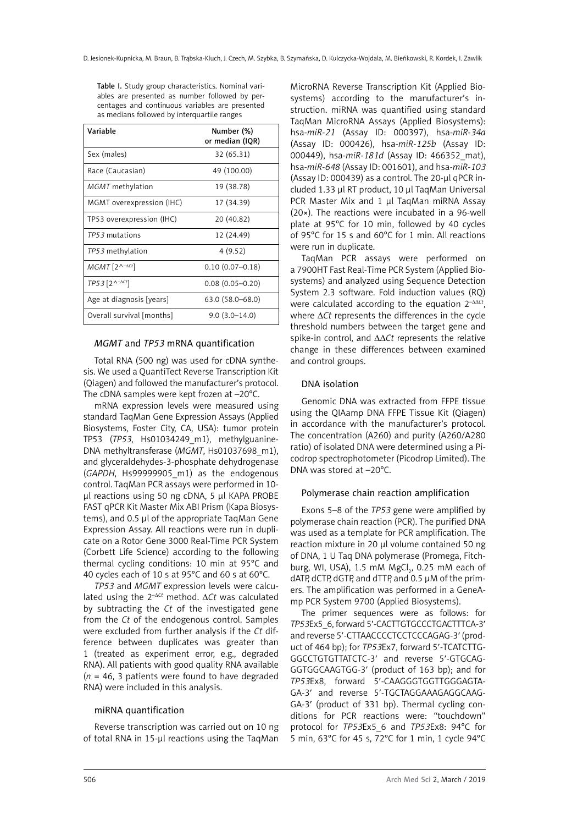Table I. Study group characteristics. Nominal variables are presented as number followed by percentages and continuous variables are presented as medians followed by interquartile ranges

| Variable                                                       | Number (%)<br>or median (IQR) |
|----------------------------------------------------------------|-------------------------------|
| Sex (males)                                                    | 32 (65.31)                    |
| Race (Caucasian)                                               | 49 (100.00)                   |
| MGMT methylation                                               | 19 (38.78)                    |
| MGMT overexpression (IHC)                                      | 17 (34.39)                    |
| TP53 overexpression (IHC)                                      | 20 (40.82)                    |
| TP53 mutations                                                 | 12 (24.49)                    |
| TP53 methylation                                               | 4(9.52)                       |
| $MGMT$ [2^- $\Delta$ Ct]                                       | $0.10(0.07 - 0.18)$           |
| $TP53$ [2 <sup><math>\land</math>-<math>\Delta</math>Ct]</sup> | $0.08(0.05 - 0.20)$           |
| Age at diagnosis [years]                                       | 63.0 (58.0-68.0)              |
| Overall survival [months]                                      | $9.0(3.0-14.0)$               |

# *MGMT* and *TP53* mRNA quantification

Total RNA (500 ng) was used for cDNA synthesis. We used a QuantiTect Reverse Transcription Kit (Qiagen) and followed the manufacturer's protocol. The cDNA samples were kept frozen at –20°C.

mRNA expression levels were measured using standard TaqMan Gene Expression Assays (Applied Biosystems, Foster City, CA, USA): tumor protein TP53 (*TP53*, Hs01034249\_m1), methylguanine-DNA methyltransferase (*MGMT*, Hs01037698\_m1), and glyceraldehydes-3-phosphate dehydrogenase (*GAPDH*, Hs99999905\_m1) as the endogenous control. TaqMan PCR assays were performed in 10 μl reactions using 50 ng cDNA, 5 μl KAPA PROBE FAST qPCR Kit Master Mix ABI Prism (Kapa Biosystems), and 0.5 μl of the appropriate TaqMan Gene Expression Assay. All reactions were run in duplicate on a Rotor Gene 3000 Real-Time PCR System (Corbett Life Science) according to the following thermal cycling conditions: 10 min at 95°C and 40 cycles each of 10 s at 95°C and 60 s at 60°C.

*TP53* and *MGMT* expression levels were calculated using the 2–<sup>∆</sup>*Ct* method. ∆*Ct* was calculated by subtracting the *Ct* of the investigated gene from the *Ct* of the endogenous control. Samples were excluded from further analysis if the *Ct* difference between duplicates was greater than 1 (treated as experiment error, e.g., degraded RNA). All patients with good quality RNA available (*n* = 46, 3 patients were found to have degraded RNA) were included in this analysis.

## miRNA quantification

Reverse transcription was carried out on 10 ng of total RNA in 15-μl reactions using the TaqMan

MicroRNA Reverse Transcription Kit (Applied Biosystems) according to the manufacturer's instruction. miRNA was quantified using standard TaqMan MicroRNA Assays (Applied Biosystems): hsa-*miR-21* (Assay ID: 000397), hsa-*miR-34a* (Assay ID: 000426), hsa-*miR-125b* (Assay ID: 000449), hsa-*miR-181d* (Assay ID: 466352\_mat), hsa-*miR-648* (Assay ID: 001601), and hsa-*miR-103* (Assay ID: 000439) as a control. The 20-μl qPCR included 1.33 μl RT product, 10 μl TaqMan Universal PCR Master Mix and 1 μl TaqMan miRNA Assay (20×). The reactions were incubated in a 96-well plate at 95°C for 10 min, followed by 40 cycles of 95°C for 15 s and 60°C for 1 min. All reactions were run in duplicate.

TaqMan PCR assays were performed on a 7900HT Fast Real-Time PCR System (Applied Biosystems) and analyzed using Sequence Detection System 2.3 software. Fold induction values (RQ) were calculated according to the equation 2–ΔΔ*Ct*, where Δ*Ct* represents the differences in the cycle threshold numbers between the target gene and spike-in control, and ΔΔ*Ct* represents the relative change in these differences between examined and control groups.

## DNA isolation

Genomic DNA was extracted from FFPE tissue using the QIAamp DNA FFPE Tissue Kit (Qiagen) in accordance with the manufacturer's protocol. The concentration (A260) and purity (A260/A280 ratio) of isolated DNA were determined using a Picodrop spectrophotometer (Picodrop Limited). The DNA was stored at –20°C.

#### Polymerase chain reaction amplification

Exons 5–8 of the *TP53* gene were amplified by polymerase chain reaction (PCR). The purified DNA was used as a template for PCR amplification. The reaction mixture in 20 μl volume contained 50 ng of DNA, 1 U Taq DNA polymerase (Promega, Fitchburg, WI, USA),  $1.5 \text{ mM MgCl}_2$ , 0.25 mM each of dATP, dCTP, dGTP, and dTTP, and 0.5 µM of the primers. The amplification was performed in a GeneAmp PCR System 9700 (Applied Biosystems).

The primer sequences were as follows: for *TP53*Ex5\_6, forward 5′-CACTTGTGCCCTGACTTTCA-3′ and reverse 5′-CTTAACCCCTCCTCCCAGAG-3′ (product of 464 bp); for *TP53*Ex7, forward 5′-TCATCTTG-GGCCTGTGTTATCTC-3′ and reverse 5′-GTGCAG-GGTGGCAAGTGG-3′ (product of 163 bp); and for *TP53*Ex8, forward 5′-CAAGGGTGGTTGGGAGTA-GA-3′ and reverse 5′-TGCTAGGAAAGAGGCAAG-GA-3′ (product of 331 bp). Thermal cycling conditions for PCR reactions were: "touchdown" protocol for *TP53*Ex5\_6 and *TP53*Ex8: 94°C for 5 min, 63°C for 45 s, 72°C for 1 min, 1 cycle 94°C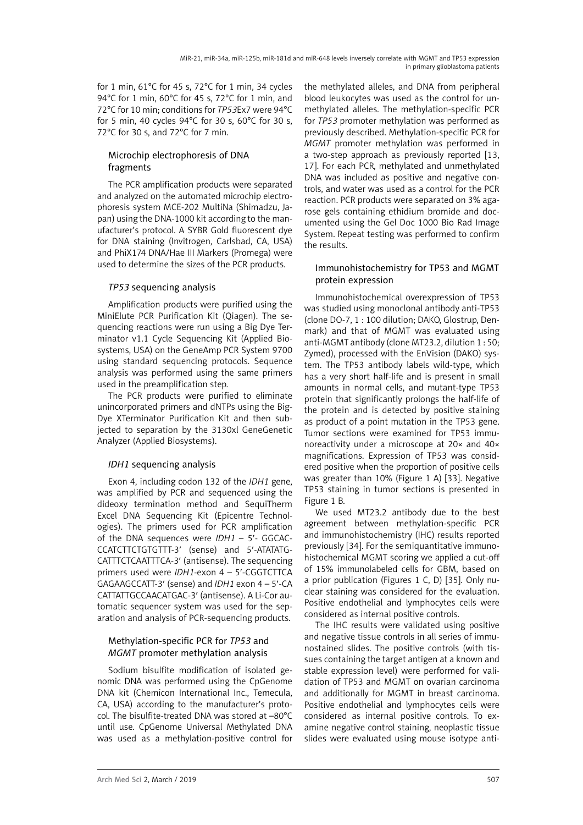for 1 min, 61°C for 45 s, 72°C for 1 min, 34 cycles 94°C for 1 min, 60°C for 45 s, 72°C for 1 min, and 72°C for 10 min; conditions for *TP53*Ex7 were 94°C for 5 min, 40 cycles 94°C for 30 s, 60°C for 30 s, 72°C for 30 s, and 72°C for 7 min.

# Microchip electrophoresis of DNA fragments

The PCR amplification products were separated and analyzed on the automated microchip electrophoresis system MCE-202 MultiNa (Shimadzu, Japan) using the DNA-1000 kit according to the manufacturer's protocol. A SYBR Gold fluorescent dye for DNA staining (Invitrogen, Carlsbad, CA, USA) and PhiX174 DNA/Hae III Markers (Promega) were used to determine the sizes of the PCR products.

# *TP53* sequencing analysis

Amplification products were purified using the MiniElute PCR Purification Kit (Qiagen). The sequencing reactions were run using a Big Dye Terminator v1.1 Cycle Sequencing Kit (Applied Biosystems, USA) on the GeneAmp PCR System 9700 using standard sequencing protocols. Sequence analysis was performed using the same primers used in the preamplification step.

The PCR products were purified to eliminate unincorporated primers and dNTPs using the Big-Dye XTerminator Purification Kit and then subjected to separation by the 3130xl GeneGenetic Analyzer (Applied Biosystems).

# *IDH1* sequencing analysis

Exon 4, including codon 132 of the *IDH1* gene, was amplified by PCR and sequenced using the dideoxy termination method and SequiTherm Excel DNA Sequencing Kit (Epicentre Technologies). The primers used for PCR amplification of the DNA sequences were *IDH1* – 5′- GGCAC-CCATCTTCTGTGTTT-3′ (sense) and 5′-ATATATG-CATTTCTCAATTTCA-3′ (antisense). The sequencing primers used were *IDH1*-exon 4 – 5′-CGGTCTTCA GAGAAGCCATT-3′ (sense) and *IDH1* exon 4 – 5′-CA CATTATTGCCAACATGAC-3′ (antisense). A Li-Cor automatic sequencer system was used for the separation and analysis of PCR-sequencing products.

# Methylation-specific PCR for *TP53* and *MGMT* promoter methylation analysis

Sodium bisulfite modification of isolated genomic DNA was performed using the CpGenome DNA kit (Chemicon International Inc., Temecula, CA, USA) according to the manufacturer's protocol. The bisulfite-treated DNA was stored at –80°C until use. CpGenome Universal Methylated DNA was used as a methylation-positive control for

the methylated alleles, and DNA from peripheral blood leukocytes was used as the control for unmethylated alleles. The methylation-specific PCR for *TP53* promoter methylation was performed as previously described. Methylation-specific PCR for *MGMT* promoter methylation was performed in a two-step approach as previously reported [13, 17]. For each PCR, methylated and unmethylated DNA was included as positive and negative controls, and water was used as a control for the PCR reaction. PCR products were separated on 3% agarose gels containing ethidium bromide and documented using the Gel Doc 1000 Bio Rad Image System. Repeat testing was performed to confirm the results.

# Immunohistochemistry for TP53 and MGMT protein expression

Immunohistochemical overexpression of TP53 was studied using monoclonal antibody anti-TP53 (clone DO-7, 1 : 100 dilution; DAKO, Glostrup, Denmark) and that of MGMT was evaluated using anti-MGMT antibody (clone MT23.2, dilution 1 : 50; Zymed), processed with the EnVision (DAKO) system. The TP53 antibody labels wild-type, which has a very short half-life and is present in small amounts in normal cells, and mutant-type TP53 protein that significantly prolongs the half-life of the protein and is detected by positive staining as product of a point mutation in the TP53 gene. Tumor sections were examined for TP53 immunoreactivity under a microscope at 20× and 40× magnifications. Expression of TP53 was considered positive when the proportion of positive cells was greater than 10% (Figure 1 A) [33]. Negative TP53 staining in tumor sections is presented in Figure 1 B.

We used MT23.2 antibody due to the best agreement between methylation-specific PCR and immunohistochemistry (IHC) results reported previously [34]. For the semiquantitative immunohistochemical MGMT scoring we applied a cut-off of 15% immunolabeled cells for GBM, based on a prior publication (Figures 1 C, D) [35]. Only nuclear staining was considered for the evaluation. Positive endothelial and lymphocytes cells were considered as internal positive controls.

The IHC results were validated using positive and negative tissue controls in all series of immunostained slides. The positive controls (with tissues containing the target antigen at a known and stable expression level) were performed for validation of TP53 and MGMT on ovarian carcinoma and additionally for MGMT in breast carcinoma. Positive endothelial and lymphocytes cells were considered as internal positive controls. To examine negative control staining, neoplastic tissue slides were evaluated using mouse isotype anti-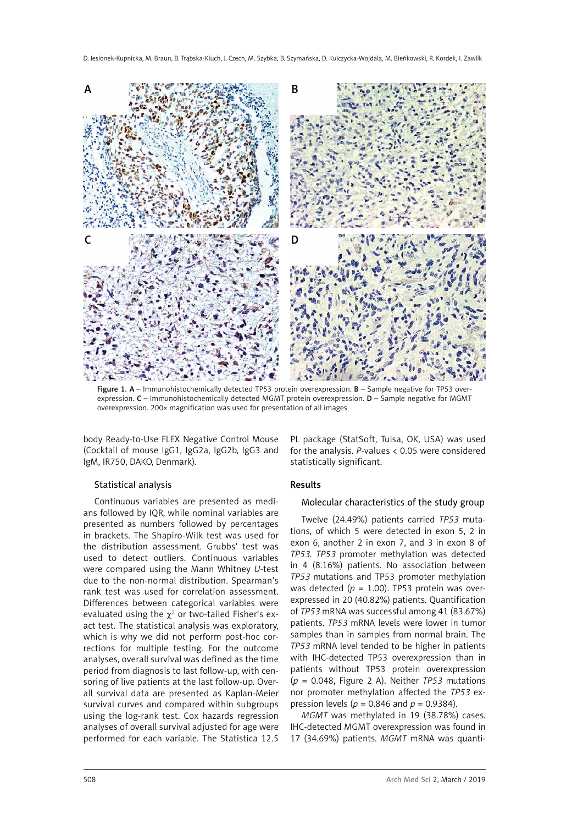

Figure 1. A – Immunohistochemically detected TP53 protein overexpression. B – Sample negative for TP53 overexpression. C – Immunohistochemically detected MGMT protein overexpression. D – Sample negative for MGMT overexpression. 200× magnification was used for presentation of all images

body Ready-to-Use FLEX Negative Control Mouse (Cocktail of mouse IgG1, IgG2a, IgG2b, IgG3 and IgM, IR750, DAKO, Denmark).

PL package (StatSoft, Tulsa, OK, USA) was used for the analysis. *P*-values < 0.05 were considered statistically significant.

#### Statistical analysis

Continuous variables are presented as medians followed by IQR, while nominal variables are presented as numbers followed by percentages in brackets. The Shapiro-Wilk test was used for the distribution assessment. Grubbs' test was used to detect outliers. Continuous variables were compared using the Mann Whitney *U*-test due to the non-normal distribution. Spearman's rank test was used for correlation assessment. Differences between categorical variables were evaluated using the  $\chi^2$  or two-tailed Fisher's exact test. The statistical analysis was exploratory, which is why we did not perform post-hoc corrections for multiple testing. For the outcome analyses, overall survival was defined as the time period from diagnosis to last follow-up, with censoring of live patients at the last follow-up. Overall survival data are presented as Kaplan-Meier survival curves and compared within subgroups using the log-rank test. Cox hazards regression analyses of overall survival adjusted for age were performed for each variable. The Statistica 12.5

#### Results

#### Molecular characteristics of the study group

Twelve (24.49%) patients carried *TP53* mutations, of which 5 were detected in exon 5, 2 in exon 6, another 2 in exon 7, and 3 in exon 8 of *TP53. TP53* promoter methylation was detected in 4 (8.16%) patients. No association between *TP53* mutations and TP53 promoter methylation was detected ( $p = 1.00$ ). TP53 protein was overexpressed in 20 (40.82%) patients. Quantification of *TP53* mRNA was successful among 41 (83.67%) patients. *TP53* mRNA levels were lower in tumor samples than in samples from normal brain. The *TP53* mRNA level tended to be higher in patients with IHC-detected TP53 overexpression than in patients without TP53 protein overexpression (*p* = 0.048, Figure 2 A). Neither *TP53* mutations nor promoter methylation affected the *TP53* expression levels (*p* = 0.846 and *p* = 0.9384).

*MGMT* was methylated in 19 (38.78%) cases. IHC-detected MGMT overexpression was found in 17 (34.69%) patients. *MGMT* mRNA was quanti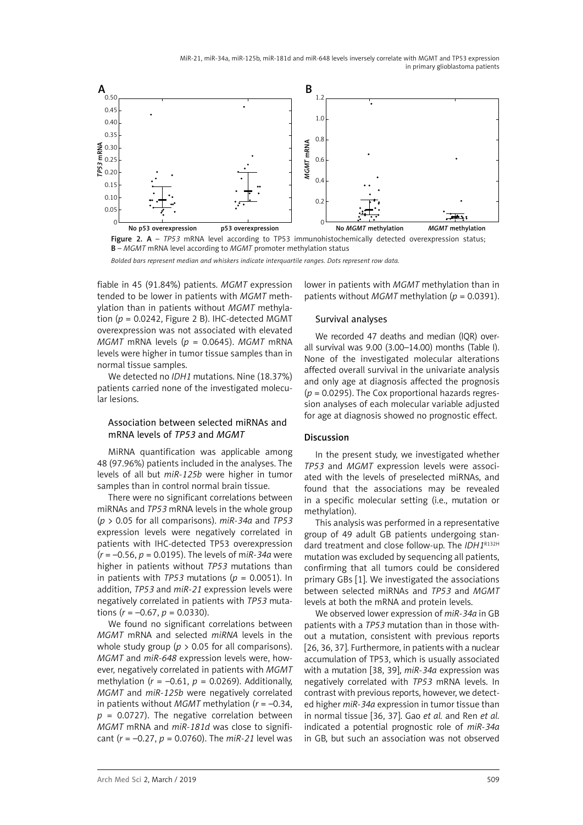MiR-21, miR-34a, miR-125b, miR-181d and miR-648 levels inversely correlate with MGMT and TP53 expression in primary glioblastoma patients



*Bolded bars represent median and whiskers indicate interquartile ranges. Dots represent row data.*

fiable in 45 (91.84%) patients. *MGMT* expression tended to be lower in patients with *MGMT* methylation than in patients without *MGMT* methylation  $(p = 0.0242$ . Figure 2 B). IHC-detected MGMT overexpression was not associated with elevated *MGMT* mRNA levels (*p* = 0.0645). *MGMT* mRNA levels were higher in tumor tissue samples than in normal tissue samples.

We detected no *IDH1* mutations. Nine (18.37%) patients carried none of the investigated molecular lesions.

## Association between selected miRNAs and mRNA levels of *TP53* and *MGMT*

MiRNA quantification was applicable among 48 (97.96%) patients included in the analyses. The levels of all but *miR-125b* were higher in tumor samples than in control normal brain tissue.

There were no significant correlations between miRNAs and *TP53* mRNA levels in the whole group (*p* > 0.05 for all comparisons). *miR-34a* and *TP53* expression levels were negatively correlated in patients with IHC-detected TP53 overexpression (*r* = –0.56, *p* = 0.0195). The levels of m*iR-34a* were higher in patients without *TP53* mutations than in patients with *TP53* mutations ( $p = 0.0051$ ). In addition, *TP53* and *miR-21* expression levels were negatively correlated in patients with *TP53* mutations  $(r = -0.67, p = 0.0330)$ .

We found no significant correlations between *MGMT* mRNA and selected *miRNA* levels in the whole study group ( $p > 0.05$  for all comparisons). *MGMT* and *miR-648* expression levels were, however, negatively correlated in patients with *MGMT* methylation ( $r = -0.61$ ,  $p = 0.0269$ ). Additionally, *MGMT* and *miR-125b* were negatively correlated in patients without *MGMT* methylation (*r* = –0.34, *p* = 0.0727). The negative correlation between *MGMT* mRNA and *miR-181d* was close to significant (*r* = –0.27, *p* = 0.0760). The *miR-21* level was lower in patients with *MGMT* methylation than in patients without *MGMT* methylation (*p* = 0.0391).

#### Survival analyses

We recorded 47 deaths and median (IQR) overall survival was 9.00 (3.00–14.00) months (Table I). None of the investigated molecular alterations affected overall survival in the univariate analysis and only age at diagnosis affected the prognosis (*p* = 0.0295). The Cox proportional hazards regression analyses of each molecular variable adjusted for age at diagnosis showed no prognostic effect.

#### Discussion

In the present study, we investigated whether *TP53* and *MGMT* expression levels were associated with the levels of preselected miRNAs, and found that the associations may be revealed in a specific molecular setting (i.e., mutation or methylation).

This analysis was performed in a representative group of 49 adult GB patients undergoing standard treatment and close follow-up. The *IDH1*R132H mutation was excluded by sequencing all patients, confirming that all tumors could be considered primary GBs [1]. We investigated the associations between selected miRNAs and *TP53* and *MGMT* levels at both the mRNA and protein levels.

We observed lower expression of *miR-34a* in GB patients with a *TP53* mutation than in those without a mutation, consistent with previous reports [26, 36, 37]. Furthermore, in patients with a nuclear accumulation of TP53, which is usually associated with a mutation [38, 39], *miR-34a* expression was negatively correlated with *TP53* mRNA levels. In contrast with previous reports, however, we detected higher *miR-34a* expression in tumor tissue than in normal tissue [36, 37]. Gao *et al.* and Ren *et al.* indicated a potential prognostic role of *miR-34a*  in GB, but such an association was not observed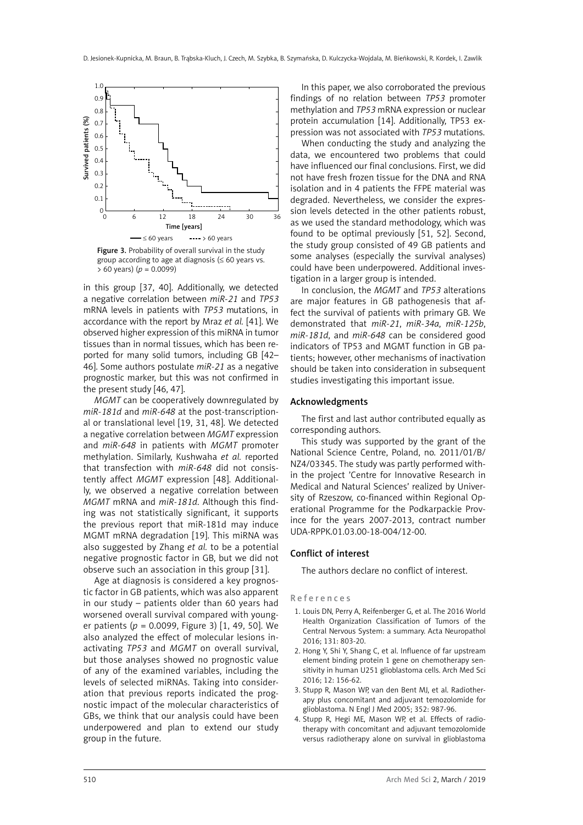

Figure 3. Probability of overall survival in the study group according to age at diagnosis ( $\leq 60$  years vs. > 60 years) (*p* = 0.0099)

in this group [37, 40]. Additionally, we detected a negative correlation between *miR-21* and *TP53* mRNA levels in patients with *TP53* mutations, in accordance with the report by Mraz *et al.* [41]. We observed higher expression of this miRNA in tumor tissues than in normal tissues, which has been reported for many solid tumors, including GB [42– 46]. Some authors postulate *miR-21* as a negative prognostic marker, but this was not confirmed in the present study [46, 47].

*MGMT* can be cooperatively downregulated by *miR-181d* and *miR-648* at the post-transcriptional or translational level [19, 31, 48]. We detected a negative correlation between *MGMT* expression and *miR-648* in patients with *MGMT* promoter methylation. Similarly, Kushwaha *et al.* reported that transfection with *miR-648* did not consistently affect *MGMT* expression [48]. Additionally, we observed a negative correlation between *MGMT* mRNA and *miR-181d*. Although this finding was not statistically significant, it supports the previous report that miR-181d may induce MGMT mRNA degradation [19]. This miRNA was also suggested by Zhang *et al.* to be a potential negative prognostic factor in GB, but we did not observe such an association in this group [31].

Age at diagnosis is considered a key prognostic factor in GB patients, which was also apparent in our study – patients older than 60 years had worsened overall survival compared with younger patients ( $p = 0.0099$ , Figure 3) [1, 49, 50]. We also analyzed the effect of molecular lesions inactivating *TP53* and *MGMT* on overall survival, but those analyses showed no prognostic value of any of the examined variables, including the levels of selected miRNAs. Taking into consideration that previous reports indicated the prognostic impact of the molecular characteristics of GBs, we think that our analysis could have been underpowered and plan to extend our study group in the future.

In this paper, we also corroborated the previous findings of no relation between *TP53* promoter methylation and *TP53* mRNA expression or nuclear protein accumulation [14]. Additionally, TP53 expression was not associated with *TP53* mutations.

When conducting the study and analyzing the data, we encountered two problems that could have influenced our final conclusions. First, we did not have fresh frozen tissue for the DNA and RNA isolation and in 4 patients the FFPE material was degraded. Nevertheless, we consider the expression levels detected in the other patients robust, as we used the standard methodology, which was found to be optimal previously [51, 52]. Second, the study group consisted of 49 GB patients and some analyses (especially the survival analyses) could have been underpowered. Additional investigation in a larger group is intended.

In conclusion, the *MGMT* and *TP53* alterations are major features in GB pathogenesis that affect the survival of patients with primary GB. We demonstrated that *miR-21*, *miR-34a*, *miR-125b*, *miR-181d*, and *miR-648* can be considered good indicators of TP53 and MGMT function in GB patients; however, other mechanisms of inactivation should be taken into consideration in subsequent studies investigating this important issue.

## Acknowledgments

The first and last author contributed equally as corresponding authors.

This study was supported by the grant of the National Science Centre, Poland, no. 2011/01/B/ NZ4/03345. The study was partly performed within the project 'Centre for Innovative Research in Medical and Natural Sciences' realized by University of Rzeszow, co-financed within Regional Operational Programme for the Podkarpackie Province for the years 2007-2013, contract number UDA-RPPK.01.03.00-18-004/12-00.

## Conflict of interest

The authors declare no conflict of interest.

References

- 1. Louis DN, Perry A, Reifenberger G, et al. The 2016 World Health Organization Classification of Tumors of the Central Nervous System: a summary. Acta Neuropathol 2016; 131: 803-20.
- 2. Hong Y, Shi Y, Shang C, et al. Influence of far upstream element binding protein 1 gene on chemotherapy sensitivity in human U251 glioblastoma cells. Arch Med Sci 2016; 12: 156-62.
- 3. Stupp R, Mason WP, van den Bent MJ, et al. Radiotherapy plus concomitant and adjuvant temozolomide for glioblastoma. N Engl J Med 2005; 352: 987-96.
- 4. Stupp R, Hegi ME, Mason WP, et al. Effects of radiotherapy with concomitant and adjuvant temozolomide versus radiotherapy alone on survival in glioblastoma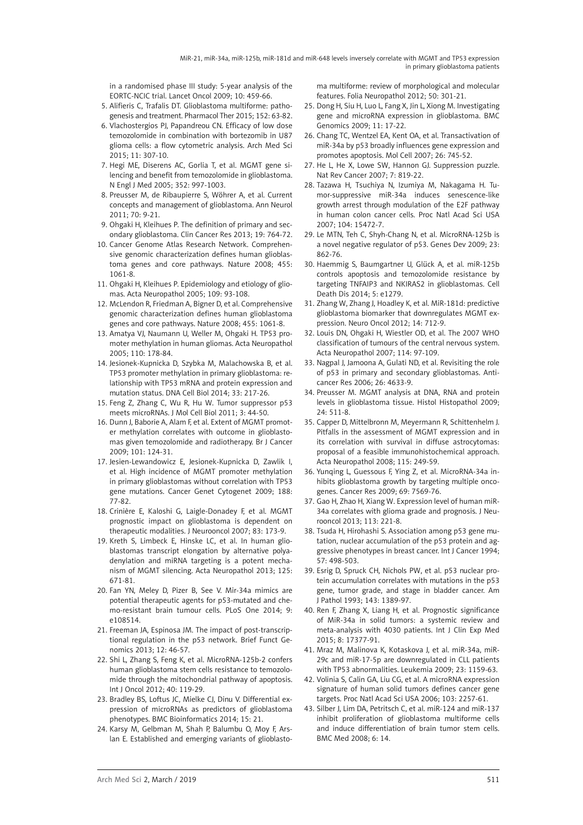in a randomised phase III study: 5-year analysis of the EORTC-NCIC trial. Lancet Oncol 2009; 10: 459-66.

- 5. Alifieris C, Trafalis DT. Glioblastoma multiforme: pathogenesis and treatment. Pharmacol Ther 2015; 152: 63-82.
- 6. Vlachostergios PJ, Papandreou CN. Efficacy of low dose temozolomide in combination with bortezomib in U87 glioma cells: a flow cytometric analysis. Arch Med Sci 2015; 11: 307-10.
- 7. Hegi ME, Diserens AC, Gorlia T, et al. MGMT gene silencing and benefit from temozolomide in glioblastoma. N Engl J Med 2005; 352: 997-1003.
- 8. Preusser M, de Ribaupierre S, Wöhrer A, et al. Current concepts and management of glioblastoma. Ann Neurol 2011; 70: 9-21.
- 9. Ohgaki H, Kleihues P. The definition of primary and secondary glioblastoma. Clin Cancer Res 2013; 19: 764-72.
- 10. Cancer Genome Atlas Research Network. Comprehensive genomic characterization defines human glioblastoma genes and core pathways. Nature 2008; 455: 1061-8.
- 11. Ohgaki H, Kleihues P. Epidemiology and etiology of gliomas. Acta Neuropathol 2005; 109: 93-108.
- 12. McLendon R, Friedman A, Bigner D, et al. Comprehensive genomic characterization defines human glioblastoma genes and core pathways. Nature 2008; 455: 1061-8.
- 13. Amatya VJ, Naumann U, Weller M, Ohgaki H. TP53 promoter methylation in human gliomas. Acta Neuropathol 2005; 110: 178-84.
- 14. Jesionek-Kupnicka D, Szybka M, Malachowska B, et al. TP53 promoter methylation in primary glioblastoma: relationship with TP53 mRNA and protein expression and mutation status. DNA Cell Biol 2014; 33: 217-26.
- 15. Feng Z, Zhang C, Wu R, Hu W. Tumor suppressor p53 meets microRNAs. J Mol Cell Biol 2011; 3: 44-50.
- 16. Dunn J, Baborie A, Alam F, et al. Extent of MGMT promoter methylation correlates with outcome in glioblastomas given temozolomide and radiotherapy. Br J Cancer 2009; 101: 124-31.
- 17. Jesien-Lewandowicz E, Jesionek-Kupnicka D, Zawlik I, et al. High incidence of MGMT promoter methylation in primary glioblastomas without correlation with TP53 gene mutations. Cancer Genet Cytogenet 2009; 188: 77-82.
- 18. Crinière E, Kaloshi G, Laigle-Donadey F, et al. MGMT prognostic impact on glioblastoma is dependent on therapeutic modalities. J Neurooncol 2007; 83: 173-9.
- 19. Kreth S, Limbeck E, Hinske LC, et al. In human glioblastomas transcript elongation by alternative polyadenylation and miRNA targeting is a potent mechanism of MGMT silencing. Acta Neuropathol 2013; 125: 671-81.
- 20. Fan YN, Meley D, Pizer B, See V. Mir-34a mimics are potential therapeutic agents for p53-mutated and chemo-resistant brain tumour cells. PLoS One 2014; 9:  $6108514$
- 21. Freeman JA, Espinosa JM. The impact of post-transcriptional regulation in the p53 network. Brief Funct Genomics 2013; 12: 46-57.
- 22. Shi L, Zhang S, Feng K, et al. MicroRNA-125b-2 confers human glioblastoma stem cells resistance to temozolomide through the mitochondrial pathway of apoptosis. Int J Oncol 2012; 40: 119-29.
- 23. Bradley BS, Loftus JC, Mielke CJ, Dinu V. Differential expression of microRNAs as predictors of glioblastoma phenotypes. BMC Bioinformatics 2014; 15: 21.
- 24. Karsy M, Gelbman M, Shah P, Balumbu O, Moy F, Arslan E. Established and emerging variants of glioblasto-

ma multiforme: review of morphological and molecular features. Folia Neuropathol 2012; 50: 301-21.

- 25. Dong H, Siu H, Luo L, Fang X, Jin L, Xiong M. Investigating gene and microRNA expression in glioblastoma. BMC Genomics 2009; 11: 17-22.
- 26. Chang TC, Wentzel EA, Kent OA, et al. Transactivation of miR-34a by p53 broadly influences gene expression and promotes apoptosis. Mol Cell 2007; 26: 745-52.
- 27. He L, He X, Lowe SW, Hannon GJ. Suppression puzzle. Nat Rev Cancer 2007; 7: 819-22.
- 28. Tazawa H, Tsuchiya N, Izumiya M, Nakagama H. Tumor-suppressive miR-34a induces senescence-like growth arrest through modulation of the E2F pathway in human colon cancer cells. Proc Natl Acad Sci USA 2007; 104: 15472-7.
- 29. Le MTN, Teh C, Shyh-Chang N, et al. MicroRNA-125b is a novel negative regulator of p53. Genes Dev 2009; 23: 862-76.
- 30. Haemmig S, Baumgartner U, Glück A, et al. miR-125b controls apoptosis and temozolomide resistance by targeting TNFAIP3 and NKIRAS2 in glioblastomas. Cell Death Dis 2014; 5: e1279.
- 31. Zhang W, Zhang J, Hoadley K, et al. MiR-181d: predictive glioblastoma biomarker that downregulates MGMT expression. Neuro Oncol 2012; 14: 712-9.
- 32. Louis DN, Ohgaki H, Wiestler OD, et al. The 2007 WHO classification of tumours of the central nervous system. Acta Neuropathol 2007; 114: 97-109.
- 33. Nagpal J, Jamoona A, Gulati ND, et al. Revisiting the role of p53 in primary and secondary glioblastomas. Anticancer Res 2006; 26: 4633-9.
- 34. Preusser M. MGMT analysis at DNA, RNA and protein levels in glioblastoma tissue. Histol Histopathol 2009; 24: 511-8.
- 35. Capper D, Mittelbronn M, Meyermann R, Schittenhelm J. Pitfalls in the assessment of MGMT expression and in its correlation with survival in diffuse astrocytomas: proposal of a feasible immunohistochemical approach. Acta Neuropathol 2008; 115: 249-59.
- 36. Yunqing L, Guessous F, Ying Z, et al. MicroRNA-34a inhibits glioblastoma growth by targeting multiple oncogenes. Cancer Res 2009; 69: 7569-76.
- 37. Gao H, Zhao H, Xiang W. Expression level of human miR-34a correlates with glioma grade and prognosis. J Neurooncol 2013; 113: 221-8.
- 38. Tsuda H, Hirohashi S. Association among p53 gene mutation, nuclear accumulation of the p53 protein and aggressive phenotypes in breast cancer. Int J Cancer 1994; 57: 498-503.
- 39. Esrig D, Spruck CH, Nichols PW, et al. p53 nuclear protein accumulation correlates with mutations in the p53 gene, tumor grade, and stage in bladder cancer. Am J Pathol 1993; 143: 1389-97.
- 40. Ren F, Zhang X, Liang H, et al. Prognostic significance of MiR-34a in solid tumors: a systemic review and meta-analysis with 4030 patients. Int J Clin Exp Med 2015; 8: 17377-91.
- 41. Mraz M, Malinova K, Kotaskova J, et al. miR-34a, miR-29c and miR-17-5p are downregulated in CLL patients with TP53 abnormalities. Leukemia 2009; 23: 1159-63.
- 42. Volinia S, Calin GA, Liu CG, et al. A microRNA expression signature of human solid tumors defines cancer gene targets. Proc Natl Acad Sci USA 2006; 103: 2257-61.
- 43. Silber J, Lim DA, Petritsch C, et al. miR-124 and miR-137 inhibit proliferation of glioblastoma multiforme cells and induce differentiation of brain tumor stem cells. BMC Med 2008; 6: 14.